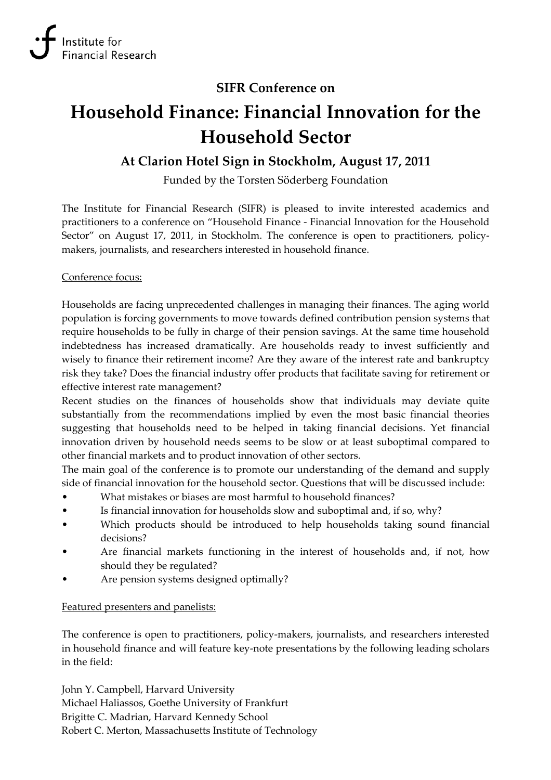## **SIFR Conference on**

# **Household Finance: Financial Innovation for the Household Sector**

# **At Clarion Hotel Sign in Stockholm, August 17, 2011**

Funded by the Torsten Söderberg Foundation

The Institute for Financial Research (SIFR) is pleased to invite interested academics and practitioners to a conference on "Household Finance ‐ Financial Innovation for the Household Sector" on August 17, 2011, in Stockholm. The conference is open to practitioners, policymakers, journalists, and researchers interested in household finance.

#### Conference focus:

Households are facing unprecedented challenges in managing their finances. The aging world population is forcing governments to move towards defined contribution pension systems that require households to be fully in charge of their pension savings. At the same time household indebtedness has increased dramatically. Are households ready to invest sufficiently and wisely to finance their retirement income? Are they aware of the interest rate and bankruptcy risk they take? Does the financial industry offer products that facilitate saving for retirement or effective interest rate management?

Recent studies on the finances of households show that individuals may deviate quite substantially from the recommendations implied by even the most basic financial theories suggesting that households need to be helped in taking financial decisions. Yet financial innovation driven by household needs seems to be slow or at least suboptimal compared to other financial markets and to product innovation of other sectors.

The main goal of the conference is to promote our understanding of the demand and supply side of financial innovation for the household sector. Questions that will be discussed include:

- What mistakes or biases are most harmful to household finances?
- Is financial innovation for households slow and suboptimal and, if so, why?
- Which products should be introduced to help households taking sound financial decisions?
- Are financial markets functioning in the interest of households and, if not, how should they be regulated?
- Are pension systems designed optimally?

### Featured presenters and panelists:

The conference is open to practitioners, policy-makers, journalists, and researchers interested in household finance and will feature key‐note presentations by the following leading scholars in the field:

John Y. Campbell, Harvard University Michael Haliassos, Goethe University of Frankfurt Brigitte C. Madrian, Harvard Kennedy School Robert C. Merton, Massachusetts Institute of Technology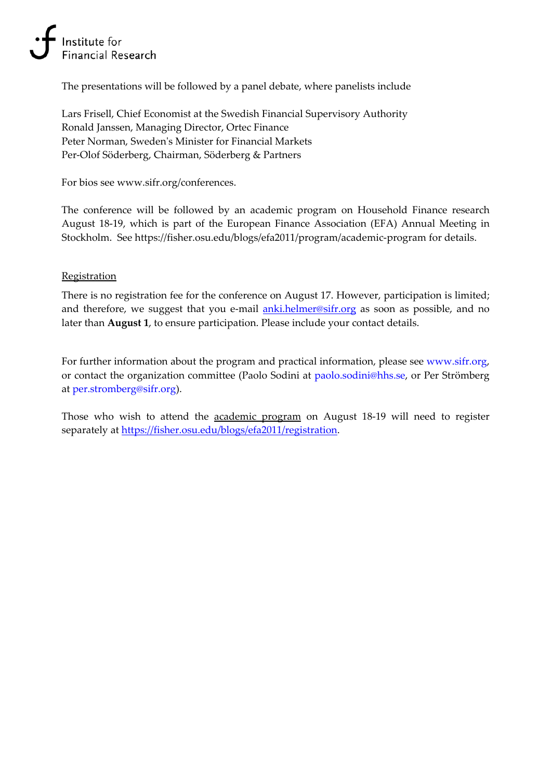# Institute for ancial Research

The presentations will be followed by a panel debate, where panelists include

Lars Frisell, Chief Economist at the Swedish Financial Supervisory Authority Ronald Janssen, Managing Director, Ortec Finance Peter Norman, Swedenʹs Minister for Financial Markets Per‐Olof Söderberg, Chairman, Söderberg & Partners

For bios see www.sifr.org/conferences.

The conference will be followed by an academic program on Household Finance research August 18‐19, which is part of the European Finance Association (EFA) Annual Meeting in Stockholm. See https://fisher.osu.edu/blogs/efa2011/program/academic‐program for details.

#### **Registration**

There is no registration fee for the conference on August 17. However, participation is limited; and therefore, we suggest that you e-mail anki.helmer@sifr.org as soon as possible, and no later than **August 1**, to ensure participation. Please include your contact details.

For further information about the program and practical information, please see www.sifr.org, or contact the organization committee (Paolo Sodini at paolo.sodini@hhs.se, or Per Strömberg at per.stromberg@sifr.org).

Those who wish to attend the **academic program** on August 18-19 will need to register separately at https://fisher.osu.edu/blogs/efa2011/registration.